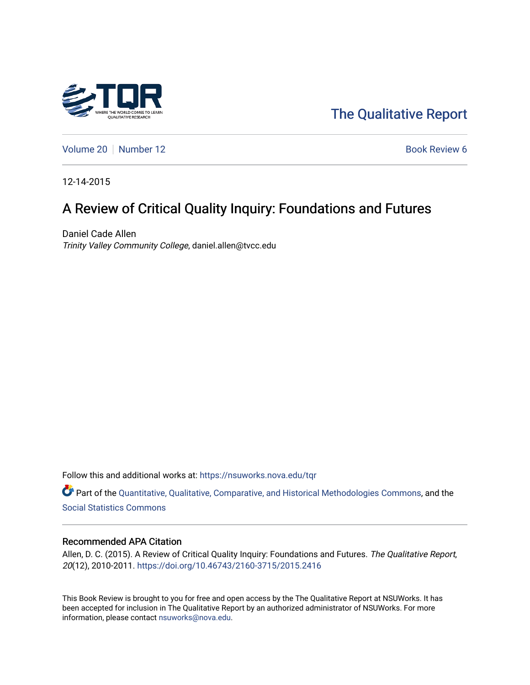

[The Qualitative Report](https://nsuworks.nova.edu/tqr) 

[Volume 20](https://nsuworks.nova.edu/tqr/vol20) | [Number 12](https://nsuworks.nova.edu/tqr/vol20/iss12) Book Review 6

12-14-2015

## A Review of Critical Quality Inquiry: Foundations and Futures

Daniel Cade Allen Trinity Valley Community College, daniel.allen@tvcc.edu

Follow this and additional works at: [https://nsuworks.nova.edu/tqr](https://nsuworks.nova.edu/tqr?utm_source=nsuworks.nova.edu%2Ftqr%2Fvol20%2Fiss12%2F6&utm_medium=PDF&utm_campaign=PDFCoverPages) 

Part of the [Quantitative, Qualitative, Comparative, and Historical Methodologies Commons,](http://network.bepress.com/hgg/discipline/423?utm_source=nsuworks.nova.edu%2Ftqr%2Fvol20%2Fiss12%2F6&utm_medium=PDF&utm_campaign=PDFCoverPages) and the [Social Statistics Commons](http://network.bepress.com/hgg/discipline/1275?utm_source=nsuworks.nova.edu%2Ftqr%2Fvol20%2Fiss12%2F6&utm_medium=PDF&utm_campaign=PDFCoverPages) 

#### Recommended APA Citation

Allen, D. C. (2015). A Review of Critical Quality Inquiry: Foundations and Futures. The Qualitative Report, 20(12), 2010-2011. <https://doi.org/10.46743/2160-3715/2015.2416>

This Book Review is brought to you for free and open access by the The Qualitative Report at NSUWorks. It has been accepted for inclusion in The Qualitative Report by an authorized administrator of NSUWorks. For more information, please contact [nsuworks@nova.edu.](mailto:nsuworks@nova.edu)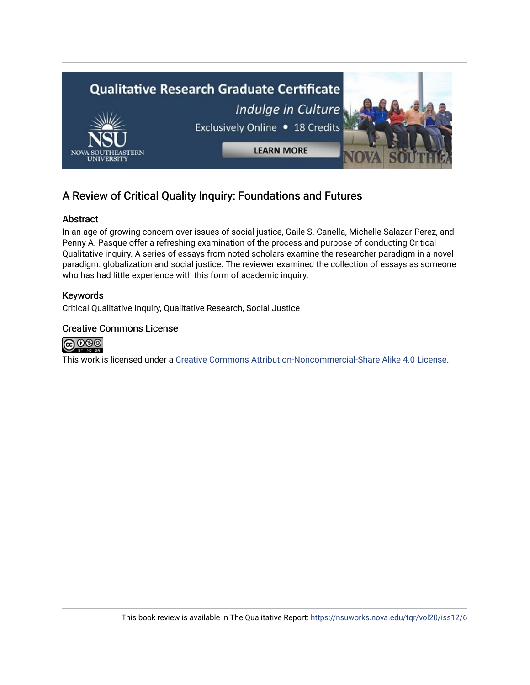

## A Review of Critical Quality Inquiry: Foundations and Futures

## Abstract

In an age of growing concern over issues of social justice, Gaile S. Canella, Michelle Salazar Perez, and Penny A. Pasque offer a refreshing examination of the process and purpose of conducting Critical Qualitative inquiry. A series of essays from noted scholars examine the researcher paradigm in a novel paradigm: globalization and social justice. The reviewer examined the collection of essays as someone who has had little experience with this form of academic inquiry.

## Keywords

Critical Qualitative Inquiry, Qualitative Research, Social Justice

## Creative Commons License



This work is licensed under a [Creative Commons Attribution-Noncommercial-Share Alike 4.0 License](https://creativecommons.org/licenses/by-nc-sa/4.0/).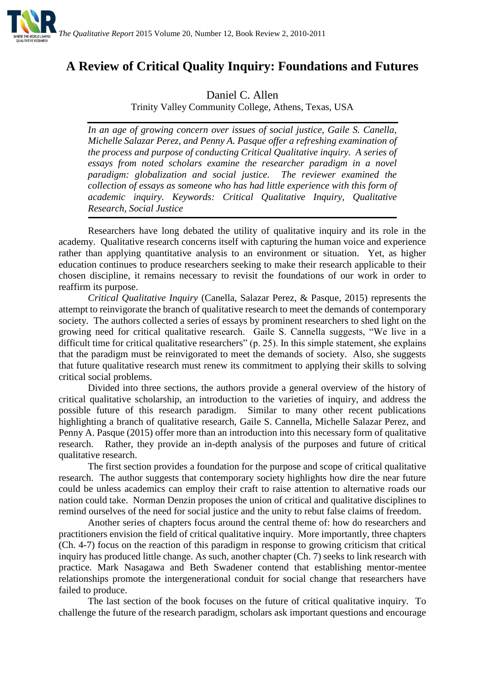

# **A Review of Critical Quality Inquiry: Foundations and Futures**

Daniel C. Allen

Trinity Valley Community College, Athens, Texas, USA

*In an age of growing concern over issues of social justice, Gaile S. Canella, Michelle Salazar Perez, and Penny A. Pasque offer a refreshing examination of the process and purpose of conducting Critical Qualitative inquiry. A series of essays from noted scholars examine the researcher paradigm in a novel paradigm: globalization and social justice. The reviewer examined the collection of essays as someone who has had little experience with this form of academic inquiry. Keywords: Critical Qualitative Inquiry, Qualitative Research, Social Justice*

Researchers have long debated the utility of qualitative inquiry and its role in the academy. Qualitative research concerns itself with capturing the human voice and experience rather than applying quantitative analysis to an environment or situation. Yet, as higher education continues to produce researchers seeking to make their research applicable to their chosen discipline, it remains necessary to revisit the foundations of our work in order to reaffirm its purpose.

*Critical Qualitative Inquiry* (Canella, Salazar Perez, & Pasque, 2015) represents the attempt to reinvigorate the branch of qualitative research to meet the demands of contemporary society. The authors collected a series of essays by prominent researchers to shed light on the growing need for critical qualitative research. Gaile S. Cannella suggests, "We live in a difficult time for critical qualitative researchers" (p. 25). In this simple statement, she explains that the paradigm must be reinvigorated to meet the demands of society. Also, she suggests that future qualitative research must renew its commitment to applying their skills to solving critical social problems.

Divided into three sections, the authors provide a general overview of the history of critical qualitative scholarship, an introduction to the varieties of inquiry, and address the possible future of this research paradigm. Similar to many other recent publications highlighting a branch of qualitative research, Gaile S. Cannella, Michelle Salazar Perez, and Penny A. Pasque (2015) offer more than an introduction into this necessary form of qualitative research. Rather, they provide an in-depth analysis of the purposes and future of critical qualitative research.

The first section provides a foundation for the purpose and scope of critical qualitative research. The author suggests that contemporary society highlights how dire the near future could be unless academics can employ their craft to raise attention to alternative roads our nation could take. Norman Denzin proposes the union of critical and qualitative disciplines to remind ourselves of the need for social justice and the unity to rebut false claims of freedom.

Another series of chapters focus around the central theme of: how do researchers and practitioners envision the field of critical qualitative inquiry. More importantly, three chapters (Ch. 4-7) focus on the reaction of this paradigm in response to growing criticism that critical inquiry has produced little change. As such, another chapter (Ch. 7) seeks to link research with practice. Mark Nasagawa and Beth Swadener contend that establishing mentor-mentee relationships promote the intergenerational conduit for social change that researchers have failed to produce.

The last section of the book focuses on the future of critical qualitative inquiry. To challenge the future of the research paradigm, scholars ask important questions and encourage